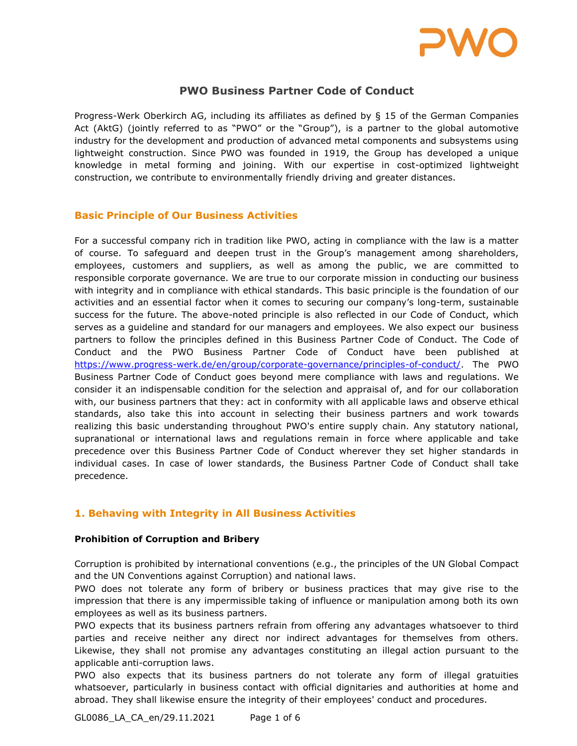

# PWO Business Partner Code of Conduct

Progress-Werk Oberkirch AG, including its affiliates as defined by § 15 of the German Companies Act (AktG) (jointly referred to as "PWO" or the "Group"), is a partner to the global automotive industry for the development and production of advanced metal components and subsystems using lightweight construction. Since PWO was founded in 1919, the Group has developed a unique knowledge in metal forming and joining. With our expertise in cost-optimized lightweight construction, we contribute to environmentally friendly driving and greater distances.

# Basic Principle of Our Business Activities

For a successful company rich in tradition like PWO, acting in compliance with the law is a matter of course. To safeguard and deepen trust in the Group's management among shareholders, employees, customers and suppliers, as well as among the public, we are committed to responsible corporate governance. We are true to our corporate mission in conducting our business with integrity and in compliance with ethical standards. This basic principle is the foundation of our activities and an essential factor when it comes to securing our company's long-term, sustainable success for the future. The above-noted principle is also reflected in our Code of Conduct, which serves as a guideline and standard for our managers and employees. We also expect our business partners to follow the principles defined in this Business Partner Code of Conduct. The Code of Conduct and the PWO Business Partner Code of Conduct have been published at https://www.progress-werk.de/en/group/corporate-governance/principles-of-conduct/. The PWO Business Partner Code of Conduct goes beyond mere compliance with laws and regulations. We consider it an indispensable condition for the selection and appraisal of, and for our collaboration with, our business partners that they: act in conformity with all applicable laws and observe ethical standards, also take this into account in selecting their business partners and work towards realizing this basic understanding throughout PWO's entire supply chain. Any statutory national, supranational or international laws and regulations remain in force where applicable and take precedence over this Business Partner Code of Conduct wherever they set higher standards in individual cases. In case of lower standards, the Business Partner Code of Conduct shall take precedence.

# 1. Behaving with Integrity in All Business Activities

#### Prohibition of Corruption and Bribery

Corruption is prohibited by international conventions (e.g., the principles of the UN Global Compact and the UN Conventions against Corruption) and national laws.

PWO does not tolerate any form of bribery or business practices that may give rise to the impression that there is any impermissible taking of influence or manipulation among both its own employees as well as its business partners.

PWO expects that its business partners refrain from offering any advantages whatsoever to third parties and receive neither any direct nor indirect advantages for themselves from others. Likewise, they shall not promise any advantages constituting an illegal action pursuant to the applicable anti-corruption laws.

PWO also expects that its business partners do not tolerate any form of illegal gratuities whatsoever, particularly in business contact with official dignitaries and authorities at home and abroad. They shall likewise ensure the integrity of their employees' conduct and procedures.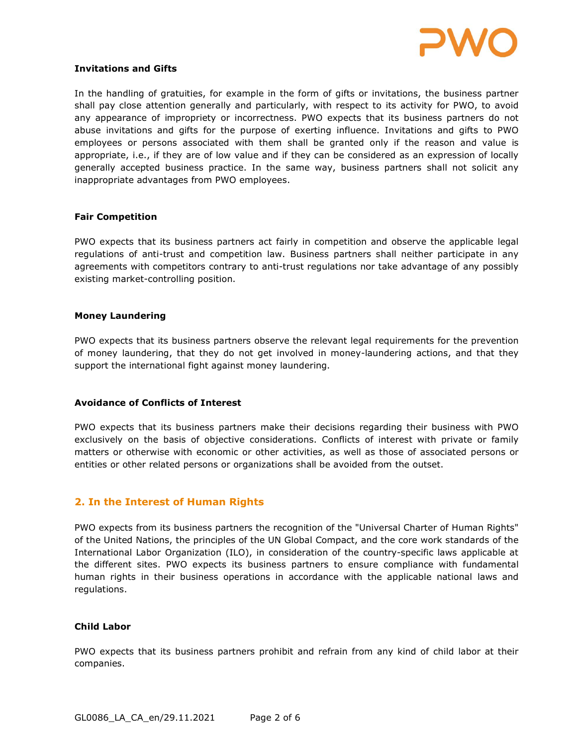

#### Invitations and Gifts

In the handling of gratuities, for example in the form of gifts or invitations, the business partner shall pay close attention generally and particularly, with respect to its activity for PWO, to avoid any appearance of impropriety or incorrectness. PWO expects that its business partners do not abuse invitations and gifts for the purpose of exerting influence. Invitations and gifts to PWO employees or persons associated with them shall be granted only if the reason and value is appropriate, i.e., if they are of low value and if they can be considered as an expression of locally generally accepted business practice. In the same way, business partners shall not solicit any inappropriate advantages from PWO employees.

#### Fair Competition

PWO expects that its business partners act fairly in competition and observe the applicable legal regulations of anti-trust and competition law. Business partners shall neither participate in any agreements with competitors contrary to anti-trust regulations nor take advantage of any possibly existing market-controlling position.

#### Money Laundering

PWO expects that its business partners observe the relevant legal requirements for the prevention of money laundering, that they do not get involved in money-laundering actions, and that they support the international fight against money laundering.

#### Avoidance of Conflicts of Interest

PWO expects that its business partners make their decisions regarding their business with PWO exclusively on the basis of objective considerations. Conflicts of interest with private or family matters or otherwise with economic or other activities, as well as those of associated persons or entities or other related persons or organizations shall be avoided from the outset.

# 2. In the Interest of Human Rights

PWO expects from its business partners the recognition of the "Universal Charter of Human Rights" of the United Nations, the principles of the UN Global Compact, and the core work standards of the International Labor Organization (ILO), in consideration of the country-specific laws applicable at the different sites. PWO expects its business partners to ensure compliance with fundamental human rights in their business operations in accordance with the applicable national laws and regulations.

#### Child Labor

PWO expects that its business partners prohibit and refrain from any kind of child labor at their companies.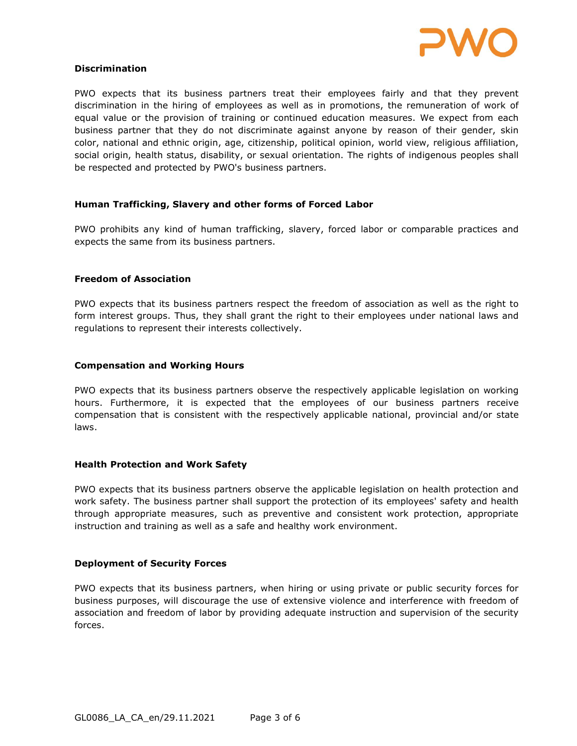

#### Discrimination

PWO expects that its business partners treat their employees fairly and that they prevent discrimination in the hiring of employees as well as in promotions, the remuneration of work of equal value or the provision of training or continued education measures. We expect from each business partner that they do not discriminate against anyone by reason of their gender, skin color, national and ethnic origin, age, citizenship, political opinion, world view, religious affiliation, social origin, health status, disability, or sexual orientation. The rights of indigenous peoples shall be respected and protected by PWO's business partners.

### Human Trafficking, Slavery and other forms of Forced Labor

PWO prohibits any kind of human trafficking, slavery, forced labor or comparable practices and expects the same from its business partners.

### Freedom of Association

PWO expects that its business partners respect the freedom of association as well as the right to form interest groups. Thus, they shall grant the right to their employees under national laws and regulations to represent their interests collectively.

#### Compensation and Working Hours

PWO expects that its business partners observe the respectively applicable legislation on working hours. Furthermore, it is expected that the employees of our business partners receive compensation that is consistent with the respectively applicable national, provincial and/or state laws.

#### Health Protection and Work Safety

PWO expects that its business partners observe the applicable legislation on health protection and work safety. The business partner shall support the protection of its employees' safety and health through appropriate measures, such as preventive and consistent work protection, appropriate instruction and training as well as a safe and healthy work environment.

#### Deployment of Security Forces

PWO expects that its business partners, when hiring or using private or public security forces for business purposes, will discourage the use of extensive violence and interference with freedom of association and freedom of labor by providing adequate instruction and supervision of the security forces.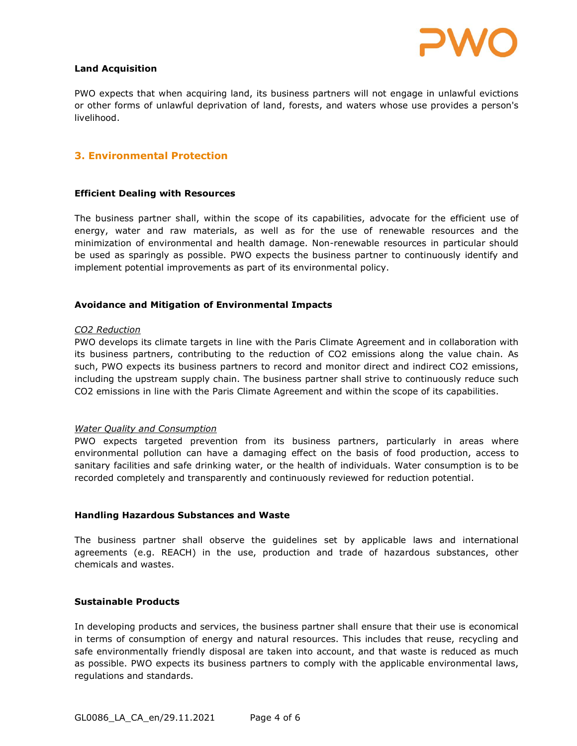

#### Land Acquisition

PWO expects that when acquiring land, its business partners will not engage in unlawful evictions or other forms of unlawful deprivation of land, forests, and waters whose use provides a person's livelihood.

# 3. Environmental Protection

#### Efficient Dealing with Resources

The business partner shall, within the scope of its capabilities, advocate for the efficient use of energy, water and raw materials, as well as for the use of renewable resources and the minimization of environmental and health damage. Non-renewable resources in particular should be used as sparingly as possible. PWO expects the business partner to continuously identify and implement potential improvements as part of its environmental policy.

#### Avoidance and Mitigation of Environmental Impacts

#### CO2 Reduction

PWO develops its climate targets in line with the Paris Climate Agreement and in collaboration with its business partners, contributing to the reduction of CO2 emissions along the value chain. As such, PWO expects its business partners to record and monitor direct and indirect CO2 emissions, including the upstream supply chain. The business partner shall strive to continuously reduce such CO2 emissions in line with the Paris Climate Agreement and within the scope of its capabilities.

#### Water Quality and Consumption

PWO expects targeted prevention from its business partners, particularly in areas where environmental pollution can have a damaging effect on the basis of food production, access to sanitary facilities and safe drinking water, or the health of individuals. Water consumption is to be recorded completely and transparently and continuously reviewed for reduction potential.

#### Handling Hazardous Substances and Waste

The business partner shall observe the guidelines set by applicable laws and international agreements (e.g. REACH) in the use, production and trade of hazardous substances, other chemicals and wastes.

#### Sustainable Products

In developing products and services, the business partner shall ensure that their use is economical in terms of consumption of energy and natural resources. This includes that reuse, recycling and safe environmentally friendly disposal are taken into account, and that waste is reduced as much as possible. PWO expects its business partners to comply with the applicable environmental laws, regulations and standards.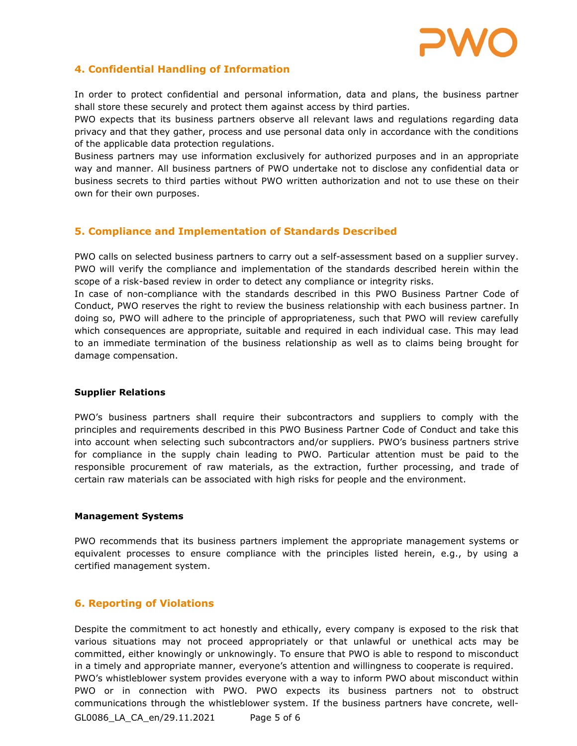

# 4. Confidential Handling of Information

In order to protect confidential and personal information, data and plans, the business partner shall store these securely and protect them against access by third parties.

PWO expects that its business partners observe all relevant laws and regulations regarding data privacy and that they gather, process and use personal data only in accordance with the conditions of the applicable data protection regulations.

Business partners may use information exclusively for authorized purposes and in an appropriate way and manner. All business partners of PWO undertake not to disclose any confidential data or business secrets to third parties without PWO written authorization and not to use these on their own for their own purposes.

# 5. Compliance and Implementation of Standards Described

PWO calls on selected business partners to carry out a self-assessment based on a supplier survey. PWO will verify the compliance and implementation of the standards described herein within the scope of a risk-based review in order to detect any compliance or integrity risks.

In case of non-compliance with the standards described in this PWO Business Partner Code of Conduct, PWO reserves the right to review the business relationship with each business partner. In doing so, PWO will adhere to the principle of appropriateness, such that PWO will review carefully which consequences are appropriate, suitable and required in each individual case. This may lead to an immediate termination of the business relationship as well as to claims being brought for damage compensation.

#### Supplier Relations

PWO's business partners shall require their subcontractors and suppliers to comply with the principles and requirements described in this PWO Business Partner Code of Conduct and take this into account when selecting such subcontractors and/or suppliers. PWO's business partners strive for compliance in the supply chain leading to PWO. Particular attention must be paid to the responsible procurement of raw materials, as the extraction, further processing, and trade of certain raw materials can be associated with high risks for people and the environment.

#### Management Systems

PWO recommends that its business partners implement the appropriate management systems or equivalent processes to ensure compliance with the principles listed herein, e.g., by using a certified management system.

# 6. Reporting of Violations

Despite the commitment to act honestly and ethically, every company is exposed to the risk that various situations may not proceed appropriately or that unlawful or unethical acts may be committed, either knowingly or unknowingly. To ensure that PWO is able to respond to misconduct in a timely and appropriate manner, everyone's attention and willingness to cooperate is required. PWO's whistleblower system provides everyone with a way to inform PWO about misconduct within PWO or in connection with PWO. PWO expects its business partners not to obstruct communications through the whistleblower system. If the business partners have concrete, well-

GL0086\_LA\_CA\_en/29.11.2021 Page 5 of 6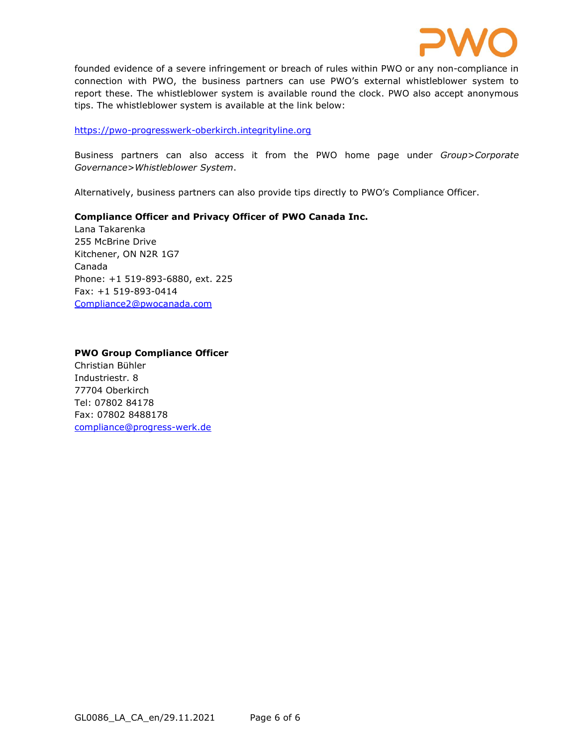

founded evidence of a severe infringement or breach of rules within PWO or any non-compliance in connection with PWO, the business partners can use PWO's external whistleblower system to report these. The whistleblower system is available round the clock. PWO also accept anonymous tips. The whistleblower system is available at the link below:

#### https://pwo-progresswerk-oberkirch.integrityline.org

Business partners can also access it from the PWO home page under Group>Corporate Governance>Whistleblower System.

Alternatively, business partners can also provide tips directly to PWO's Compliance Officer.

### Compliance Officer and Privacy Officer of PWO Canada Inc.

Lana Takarenka 255 McBrine Drive Kitchener, ON N2R 1G7 Canada Phone: +1 519-893-6880, ext. 225 Fax: +1 519-893-0414 Compliance2@pwocanada.com

### PWO Group Compliance Officer

Christian Bühler Industriestr. 8 77704 Oberkirch Tel: 07802 84178 Fax: 07802 8488178 compliance@progress-werk.de